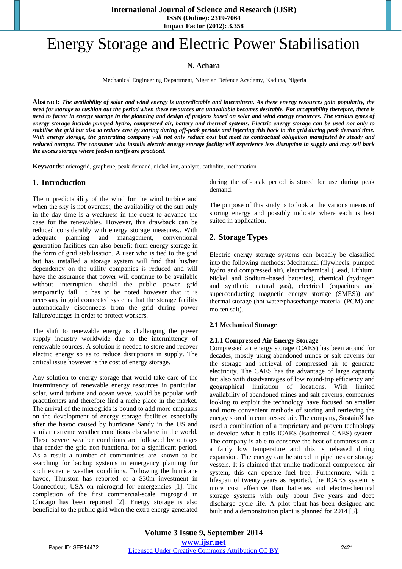# Energy Storage and Electric Power Stabilisation

# **N. Achara**

Mechanical Engineering Department, Nigerian Defence Academy, Kaduna, Nigeria

**Abstract:** *The availability of solar and wind energy is unpredictable and intermittent. As these energy resources gain popularity, the need for storage to cushion out the period when these resources are unavailable becomes desirable. For acceptability therefore, there is need to factor in energy storage in the planning and design of projects based on solar and wind energy resources. The various types of energy storage include pumped hydro, compressed air, battery and thermal systems. Electric energy storage can be used not only to stabilise the grid but also to reduce cost by storing during off-peak periods and injecting this back in the grid during peak demand time. With energy storage, the generating company will not only reduce cost but meet its contractual obligation manifested by steady and reduced outages. The consumer who installs electric energy storage facility will experience less disruption in supply and may sell back the excess storage where feed-in tariffs are practiced.*

**Keywords:** microgrid, graphene, peak-demand, nickel-ion, anolyte, catholite, methanation

# **1. Introduction**

The unpredictability of the wind for the wind turbine and when the sky is not overcast, the availability of the sun only in the day time is a weakness in the quest to advance the case for the renewables. However, this drawback can be reduced considerably with energy storage measures.. With adequate planning and management, conventional generation facilities can also benefit from energy storage in the form of grid stabilisation. A user who is tied to the grid but has installed a storage system will find that his/her dependency on the utility companies is reduced and will have the assurance that power will continue to be available without interruption should the public power grid temporarily fail. It has to be noted however that it is necessary in grid connected systems that the storage facility automatically disconnects from the grid during power failure/outages in order to protect workers.

The shift to renewable energy is challenging the power supply industry worldwide due to the intermittency of renewable sources. A solution is needed to store and recover electric energy so as to reduce disruptions in supply. The critical issue however is the cost of energy storage.

Any solution to energy storage that would take care of the intermittency of renewable energy resources in particular, solar, wind turbine and ocean wave, would be popular with practitioners and therefore find a niche place in the market. The arrival of the microgrids is bound to add more emphasis on the development of energy storage facilities especially after the havoc caused by hurricane Sandy in the US and similar extreme weather conditions elsewhere in the world. These severe weather conditions are followed by outages that render the grid non-functional for a significant period. As a result a number of communities are known to be searching for backup systems in emergency planning for such extreme weather conditions. Following the hurricane havoc, Thurston has reported of a \$30m investment in Connecticut, USA on microgrid for emergencies [1]. The completion of the first commercial-scale migrogrid in Chicago has been reported [2]. Energy storage is also beneficial to the public grid when the extra energy generated during the off-peak period is stored for use during peak demand.

The purpose of this study is to look at the various means of storing energy and possibly indicate where each is best suited in application.

# **2. Storage Types**

Electric energy storage systems can broadly be classified into the following methods: Mechanical (flywheels, pumped hydro and compressed air), electrochemical (Lead, Lithium, Nickel and Sodium–based batteries), chemical (hydrogen and synthetic natural gas), electrical (capacitors and superconducting magnetic energy storage (SMES)) and thermal storage (hot water/phasechange material (PCM) and molten salt).

#### **2.1 Mechanical Storage**

#### **2.1.1 Compressed Air Energy Storage**

Compressed air energy storage (CAES) has been around for decades, mostly using abandoned mines or salt caverns for the storage and retrieval of compressed air to generate electricity. The CAES has the advantage of large capacity but also with disadvantages of low round-trip efficiency and geographical limitation of locations. With limited availability of abandoned mines and salt caverns, companies looking to exploit the technology have focused on smaller and more convenient methods of storing and retrieving the energy stored in compressed air. The company, SustainX has used a combination of a proprietary and proven technology to develop what it calls ICAES (isothermal CAES) system. The company is able to conserve the heat of compression at a fairly low temperature and this is released during expansion. The energy can be stored in pipelines or storage vessels. It is claimed that unlike traditional compressed air system, this can operate fuel free. Furthermore, with a lifespan of twenty years as reported, the ICAES system is more cost effective than batteries and electro-chemical storage systems with only about five years and deep discharge cycle life. A pilot plant has been designed and built and a demonstration plant is planned for 2014 [3].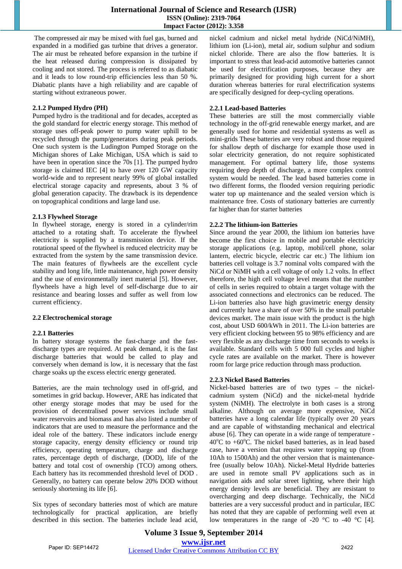The compressed air may be mixed with fuel gas, burned and expanded in a modified gas turbine that drives a generator. The air must be reheated before expansion in the turbine if the heat released during compression is dissipated by cooling and not stored. The process is referred to as diabatic and it leads to low round-trip efficiencies less than 50 %. Diabatic plants have a high reliability and are capable of starting without extraneous power.

#### **2.1.2 Pumped Hydro (PH)**

Pumped hydro is the traditional and for decades, accepted as the gold standard for electric energy storage. This method of storage uses off-peak power to pump water uphill to be recycled through the pump/generators during peak periods. One such system is the Ludington Pumped Storage on the Michigan shores of Lake Michigan, USA which is said to have been in operation since the 70s [1]. The pumped hydro storage is claimed IEC [4] to have over 120 GW capacity world-wide and to represent nearly 99% of global installed electrical storage capacity and represents, about 3 % of global generation capacity. The drawback is its dependence on topographical conditions and large land use.

#### **2.1.3 Flywheel Storage**

In flywheel storage, energy is stored in a cylinder/rim attached to a rotating shaft. To accelerate the flywheel electricity is supplied by a transmission device. If the rotational speed of the flywheel is reduced electricity may be extracted from the system by the same transmission device. The main features of flywheels are the excellent cycle stability and long life, little maintenance, high power density and the use of environmentally inert material [5]. However, flywheels have a high level of self-discharge due to air resistance and bearing losses and suffer as well from low current efficiency.

#### **2.2 Electrochemical storage**

# **2.2.1 Batteries**

In battery storage systems the fast-charge and the fastdischarge types are required. At peak demand, it is the fast discharge batteries that would be called to play and conversely when demand is low, it is necessary that the fast charge soaks up the excess electric energy generated.

Batteries, are the main technology used in off-grid, and sometimes in grid backup. However, ARE has indicated that other energy storage modes that may be used for the provision of decentralised power services include small water reservoirs and biomass and has also listed a number of indicators that are used to measure the performance and the ideal role of the battery. These indicators include energy storage capacity, energy density efficiency or round trip efficiency, operating temperature, charge and discharge rates, percentage depth of discharge, (DOD), life of the battery and total cost of ownership (TCO) among others. Each battery has its recommended threshold level of DOD . Generally, no battery can operate below 20% DOD without seriously shortening its life [6].

Six types of secondary batteries most of which are mature technologically for practical application, are briefly described in this section. The batteries include lead acid, nickel cadmium and nickel metal hydride (NiCd/NiMH), lithium ion (Li-ion), metal air, sodium sulphur and sodium nickel chloride. There are also the flow batteries. It is important to stress that lead-acid automotive batteries cannot be used for electrification purposes, because they are primarily designed for providing high current for a short duration whereas batteries for rural electrification systems are specifically designed for deep-cycling operations.

## **2.2.1 Lead-based Batteries**

These batteries are still the most commercially viable technology in the off-grid renewable energy market, and are generally used for home and residential systems as well as mini-grids These batteries are very robust and those required for shallow depth of discharge for example those used in solar electricity generation, do not require sophisticated management. For optimal battery life, those systems requiring deep depth of discharge, a more complex control system would be needed. The lead based batteries come in two different forms, the flooded version requiring periodic water top up maintenance and the sealed version which is maintenance free. Costs of stationary batteries are currently far higher than for starter batteries

#### **2.2.2 The lithium-ion Batteries**

Since around the year 2000, the lithium ion batteries have become the first choice in mobile and portable electricity storage applications (e.g. laptop, mobil/cell phone, solar lantern, electric bicycle, electric car etc.) The lithium ion batteries cell voltage is 3.7 nominal volts compared with the NiCd or NiMH with a cell voltage of only 1.2 volts. In effect therefore, the high cell voltage level means that the number of cells in series required to obtain a target voltage with the associated connections and electronics can be reduced. The Li-ion batteries also have high gravimetric energy density and currently have a share of over 50% in the small portable devices market. The main issue with the product is the high cost, about USD 600/kWh in 2011. The Li-ion batteries are very efficient clocking between 95 to 98% efficiency and are very flexible as any discharge time from seconds to weeks is available. Standard cells with 5 000 full cycles and higher cycle rates are available on the market. There is however room for large price reduction through mass production.

# **2.2.3 Nickel Based Batteries**

Nickel-based batteries are of two types – the nickelcadmium system (NiCd) and the nickel-metal hydride system (NiMH). The electrolyte in both cases is a strong alkaline. Although on average more expensive, NiCd batteries have a long calendar life (typically over 20 years and are capable of withstanding mechanical and electrical abuse [6]. They can operate in a wide range of temperature - 40°C to +60°C. The nickel based batteries, as in lead based case, have a version that requires water topping up (from 10Ah to 1500Ah) and the other version that is maintenancefree (usually below 10Ah). Nickel-Metal Hydride batteries are used in remote small PV applications such as in navigation aids and solar street lighting, where their high energy density levels are beneficial. They are resistant to overcharging and deep discharge. Technically, the NiCd batteries are a very successful product and in particular, IEC has noted that they are capable of performing well even at low temperatures in the range of -20  $\degree$ C to -40  $\degree$ C [4].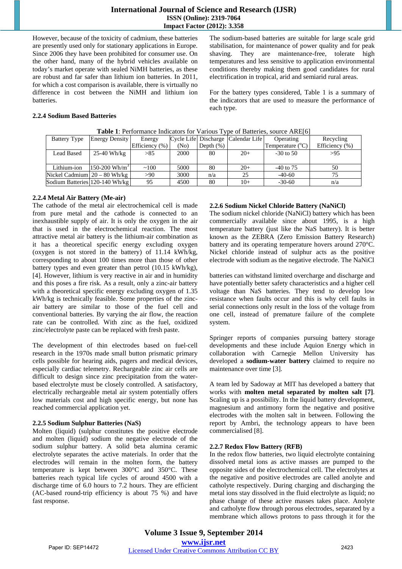# **International Journal of Science and Research (IJSR) ISSN (Online): 2319-7064 Impact Factor (2012): 3.358**

However, because of the toxicity of cadmium, these batteries are presently used only for stationary applications in Europe. Since 2006 they have been prohibited for consumer use. On the other hand, many of the hybrid vehicles available on today's market operate with sealed NiMH batteries, as these are robust and far safer than lithium ion batteries. In 2011, for which a cost comparison is available, there is virtually no difference in cost between the NiMH and lithium ion batteries.

The sodium-based batteries are suitable for large scale grid stabilisation, for maintenance of power quality and for peak shaving. They are maintenance-free, tolerate high temperatures and less sensitive to application environmental conditions thereby making them good candidates for rural electrification in tropical, arid and semiarid rural areas.

For the battery types considered, Table 1 is a summary of the indicators that are used to measure the performance of each type.

#### **2.2.4 Sodium Based Batteries**

| <b>Table 1</b> . Performance indicators for various Type of Batteries, source ARE[0] |                             |                    |                   |              |                                    |                           |                    |  |  |
|--------------------------------------------------------------------------------------|-----------------------------|--------------------|-------------------|--------------|------------------------------------|---------------------------|--------------------|--|--|
| <b>Battery Type</b>                                                                  | <b>Energy Density</b>       | Energy             |                   |              | Cycle Life Discharge Calendar Life | Operating                 | Recycling          |  |  |
|                                                                                      |                             | Efficiency $(\% )$ | (N <sub>0</sub> ) | Depth $(\%)$ |                                    | Temperature $(^{\circ}C)$ | Efficiency $(\% )$ |  |  |
| <b>Lead Based</b>                                                                    | 25-40 Wh/kg                 | >85                | 2000              | 80           | $20+$                              | $-30$ to 50               | >95                |  |  |
|                                                                                      |                             |                    |                   |              |                                    |                           |                    |  |  |
| Lithium-ion                                                                          | $150-200$ Wh/m <sup>3</sup> | ~100               | 5000              | 80           | $20+$                              | $-40$ to 75               | 50                 |  |  |
| Nickel Cadmium $20 - 80$ Wh/kg                                                       |                             | >90                | 3000              | n/a          | 25                                 | $-40-60$                  | 75                 |  |  |
| Sodium Batteries 120-140 Wh/kg                                                       |                             | 95                 | 4500              | 80           | $10+$                              | $-30-60$                  | n/a                |  |  |

**Table 1**: Performance Indicators for Various Type of Batteries, source ARE[6]

#### **2.2.4 Metal Air Battery (Me-air)**

The cathode of the metal air electrochemical cell is made from pure metal and the cathode is connected to an inexhaustible supply of air. It is only the oxygen in the air that is used in the electrochemical reaction. The most attractive metal air battery is the lithium-air combination as it has a theoretical specific energy excluding oxygen (oxygen is not stored in the battery) of 11.14 kWh/kg, corresponding to about 100 times more than those of other battery types and even greater than petrol (10.15 kWh/kg), [4]. However, lithium is very reactive in air and in humidity and this poses a fire risk. As a result, only a zinc-air battery with a theoretical specific energy excluding oxygen of 1.35 kWh/kg is technically feasible. Some properties of the zincair battery are similar to those of the fuel cell and conventional batteries. By varying the air flow, the reaction rate can be controlled. With zinc as the fuel, oxidized zinc/electrolyte paste can be replaced with fresh paste.

The development of thin electrodes based on fuel-cell research in the 1970s made small button prismatic primary cells possible for hearing aids, pagers and medical devices, especially cardiac telemetry. Rechargeable zinc air cells are difficult to design since zinc precipitation from the waterbased electrolyte must be closely controlled. A satisfactory, electrically rechargeable metal air system potentially offers low materials cost and high specific energy, but none has reached commercial application yet.

#### **2.2.5 Sodium Sulphur Batteries (NaS)**

Molten (liquid) (sulphur constitutes the positive electrode and molten (liquid) sodium the negative electrode of the sodium sulphur battery. A solid beta alumina ceramic electrolyte separates the active materials. In order that the electrodes will remain in the molten form, the battery temperature is kept between 300°C and 350°C. These batteries reach typical life cycles of around 4500 with a discharge time of 6.0 hours to 7.2 hours. They are efficient (AC-based round-trip efficiency is about 75 %) and have fast response.

#### **2.2.6 Sodium Nickel Chloride Battery (NaNiCl)**

The sodium nickel chloride (NaNiCl) battery which has been commercially available since about 1995, is a high temperature battery (just like the NaS battery). It is better known as the ZEBRA (Zero Emission Battery Research) battery and its operating temperature hovers around 270°C. Nickel chloride instead of sulphur acts as the positive electrode with sodium as the negative electrode. The NaNiCl

batteries can withstand limited overcharge and discharge and have potentially better safety characteristics and a higher cell voltage than NaS batteries. They tend to develop low resistance when faults occur and this is why cell faults in serial connections only result in the loss of the voltage from one cell, instead of premature failure of the complete system.

Springer reports of companies pursuing battery storage developments and these include Aquion Energy which in collaboration with Carnegie Mellon University has developed a **sodium-water battery** claimed to require no maintenance over time [3].

A team led by Sadoway at MIT has developed a battery that works with **molten metal separated by molten salt [7]**. Scaling up is a possibility. In the liquid battery development, magnesium and antimony form the negative and positive electrodes with the molten salt in between. Following the report by Ambri, the technology appears to have been commercialised [8].

#### **2.2.7 Redox Flow Battery (RFB)**

In the redox flow batteries, two liquid electrolyte containing dissolved metal ions as active masses are pumped to the opposite sides of the electrochemical cell. The electrolytes at the negative and positive electrodes are called anolyte and catholyte respectively. During charging and discharging the metal ions stay dissolved in the fluid electrolyte as liquid; no phase change of these active masses takes place. Anolyte and catholyte flow through porous electrodes, separated by a membrane which allows protons to pass through it for the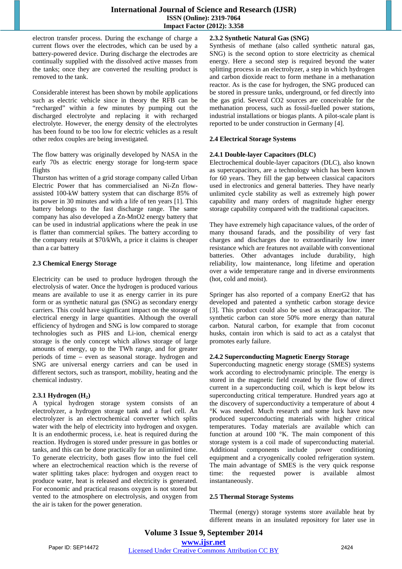electron transfer process. During the exchange of charge a current flows over the electrodes, which can be used by a battery-powered device. During discharge the electrodes are continually supplied with the dissolved active masses from the tanks; once they are converted the resulting product is removed to the tank.

Considerable interest has been shown by mobile applications such as electric vehicle since in theory the RFB can be "recharged" within a few minutes by pumping out the discharged electrolyte and replacing it with recharged electrolyte. However, the energy density of the electrolytes has been found to be too low for electric vehicles as a result other redox couples are being investigated.

The flow battery was originally developed by NASA in the early 70s as electric energy storage for long-term space flights

Thurston has written of a grid storage company called Urban Electric Power that has commercialised an Ni-Zn flowassisted 100-kW battery system that can discharge 85% of its power in 30 minutes and with a life of ten years [1]. This battery belongs to the fast discharge range. The same company has also developed a Zn-MnO2 energy battery that can be used in industrial applications where the peak in use is flatter than commercial spikes. The battery according to the company retails at \$70/kWh, a price it claims is cheaper than a car battery

#### **2.3 Chemical Energy Storage**

Electricity can be used to produce hydrogen through the electrolysis of water. Once the hydrogen is produced various means are available to use it as energy carrier in its pure form or as synthetic natural gas (SNG) as secondary energy carriers. This could have significant impact on the storage of electrical energy in large quantities. Although the overall efficiency of hydrogen and SNG is low compared to storage technologies such as PHS and Li-ion, chemical energy storage is the only concept which allows storage of large amounts of energy, up to the TWh range, and for greater periods of time – even as seasonal storage. hydrogen and SNG are universal energy carriers and can be used in different sectors, such as transport, mobility, heating and the chemical industry.

# **2.3.1 Hydrogen (H2)**

A typical hydrogen storage system consists of an electrolyzer, a hydrogen storage tank and a fuel cell. An electrolyzer is an electrochemical converter which splits water with the help of electricity into hydrogen and oxygen. It is an endothermic process, i.e. heat is required during the reaction. Hydrogen is stored under pressure in gas bottles or tanks, and this can be done practically for an unlimited time. To generate electricity, both gases flow into the fuel cell where an electrochemical reaction which is the reverse of water splitting takes place: hydrogen and oxygen react to produce water, heat is released and electricity is generated. For economic and practical reasons oxygen is not stored but vented to the atmosphere on electrolysis, and oxygen from the air is taken for the power generation.

# **2.3.2 Synthetic Natural Gas (SNG)**

Synthesis of methane (also called synthetic natural gas, SNG) is the second option to store electricity as chemical energy. Here a second step is required beyond the water splitting process in an electrolyzer, a step in which hydrogen and carbon dioxide react to form methane in a methanation reactor. As is the case for hydrogen, the SNG produced can be stored in pressure tanks, underground, or fed directly into the gas grid. Several CO2 sources are conceivable for the methanation process, such as fossil-fuelled power stations, industrial installations or biogas plants. A pilot-scale plant is reported to be under construction in Germany [4].

## **2.4 Electrical Storage Systems**

#### **2.4.1 Double-layer Capacitors (DLC)**

Electrochemical double-layer capacitors (DLC), also known as supercapacitors, are a technology which has been known for 60 years. They fill the gap between classical capacitors used in electronics and general batteries. They have nearly unlimited cycle stability as well as extremely high power capability and many orders of magnitude higher energy storage capability compared with the traditional capacitors.

They have extremely high capacitance values, of the order of many thousand farads, and the possibility of very fast charges and discharges due to extraordinarily low inner resistance which are features not available with conventional batteries. Other advantages include durability, high reliability, low maintenance, long lifetime and operation over a wide temperature range and in diverse environments (hot, cold and moist).

Springer has also reported of a company EnerG2 that has developed and patented a synthetic carbon storage device [3]. This product could also be used as ultracapacitor. The synthetic carbon can store 50% more energy than natural carbon. Natural carbon, for example that from coconut husks, contain iron which is said to act as a catalyst that promotes early failure.

#### **2.4.2 Superconducting Magnetic Energy Storage**

Superconducting magnetic energy storage (SMES) systems work according to electrodynamic principle. The energy is stored in the magnetic field created by the flow of direct current in a superconducting coil, which is kept below its superconducting critical temperature. Hundred years ago at the discovery of superconductivity a temperature of about 4 °K was needed. Much research and some luck have now produced superconducting materials with higher critical temperatures. Today materials are available which can function at around 100 °K. The main component of this storage system is a coil made of superconducting material. Additional components include power conditioning equipment and a cryogenically cooled refrigeration system. The main advantage of SMES is the very quick response time: the requested power is available almost instantaneously.

#### **2.5 Thermal Storage Systems**

Thermal (energy) storage systems store available heat by different means in an insulated repository for later use in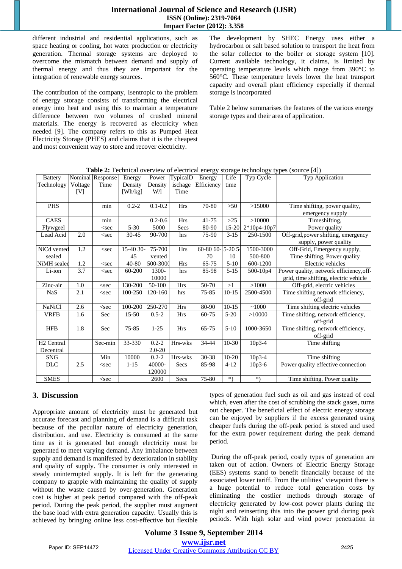## **International Journal of Science and Research (IJSR) ISSN (Online): 2319-7064 Impact Factor (2012): 3.358**

different industrial and residential applications, such as space heating or cooling, hot water production or electricity generation. Thermal storage systems are deployed to overcome the mismatch between demand and supply of thermal energy and thus they are important for the integration of renewable energy sources.

The contribution of the company, Isentropic to the problem of energy storage consists of transforming the electrical energy into heat and using this to maintain a temperature difference between two volumes of crushed mineral materials. The energy is recovered as electricity when needed [9]. The company refers to this as Pumped Heat Electricity Storage (PHES) and claims that it is the cheapest and most convenient way to store and recover electricity.

The development by SHEC Energy uses either a hydrocarbon or salt based solution to transport the heat from the solar collector to the boiler or storage system [10]. Current available technology, it claims, is limited by operating temperature levels which range from 390°C to 560°C. These temperature levels lower the heat transport capacity and overall plant efficiency especially if thermal storage is incorporated

Table 2 below summarises the features of the various energy storage types and their area of application.

| <b>Battery</b>         |         | Nominal Response                                                                                                                                | Energy    | Power       | TypicalD   | Energy                         | Life      | Typ Cycle   | Typ Application                         |
|------------------------|---------|-------------------------------------------------------------------------------------------------------------------------------------------------|-----------|-------------|------------|--------------------------------|-----------|-------------|-----------------------------------------|
| Technology             | Voltage | Time                                                                                                                                            | Density   | Density     | ischage    | Efficiency                     | time      |             |                                         |
|                        | [V]     |                                                                                                                                                 | [Wh/kg]   | W/1         | Time       |                                |           |             |                                         |
|                        |         |                                                                                                                                                 |           |             |            |                                |           |             |                                         |
| <b>PHS</b>             |         | min                                                                                                                                             | $0.2 - 2$ | $0.1 - 0.2$ | <b>Hrs</b> | 70-80                          | $>50$     | >15000      | Time shifting, power quality,           |
|                        |         |                                                                                                                                                 |           |             |            |                                |           |             | emergency supply                        |
| CAES                   |         | min                                                                                                                                             |           | $0.2 - 0.6$ | <b>Hrs</b> | $41 - 75$                      | $>25$     | >10000      | Timeshifting,                           |
| Flywgeel               |         | <sec< td=""><td><math>5 - 30</math></td><td>5000</td><td>Secs</td><td>80-90</td><td>15-20</td><td>2*10p4-10p7</td><td>Power quality</td></sec<> | $5 - 30$  | 5000        | Secs       | 80-90                          | 15-20     | 2*10p4-10p7 | Power quality                           |
| Lead Acid              | 2.0     | $<$ sec                                                                                                                                         | 30-45     | 90-700      | hrs        | 75-90                          | $3 - 15$  | 250-1500    | Off-grid, power shifting, emergency     |
|                        |         |                                                                                                                                                 |           |             |            |                                |           |             | supply, power quality                   |
| NiCd vented            | 1.2     | $<$ sec                                                                                                                                         | 15-40 30- | 75-700      | Hrs        | $60-80$ $60-\overline{5-20}$ 5 |           | 1500-3000   | Off-Grid, Emergency supply,             |
| sealed                 |         |                                                                                                                                                 | 45        | vented      |            | 70                             | 10        | 500-800     | Time shifting, Power quality            |
| NiMH sealed            | 1.2     | $<$ sec                                                                                                                                         | 40-80     | 500-3000    | <b>Hrs</b> | 65-75                          | $5-10$    | 600-1200    | Electric vehicles                       |
| Li-ion                 | 3.7     | $<$ sec                                                                                                                                         | 60-200    | 1300-       | hrs        | 85-98                          | $5 - 15$  | 500-10p4    | Power quality, network efficiency, off- |
|                        |         |                                                                                                                                                 |           | 10000       |            |                                |           |             | grid, time shifting, electric vehicle   |
| Zinc-air               | 1.0     | $<$ sec                                                                                                                                         | 130-200   | 50-100      | <b>Hrs</b> | 50-70                          | >1        | >1000       | Off-grid, electric vehicles             |
| <b>NaS</b>             | 2.1     | $<$ sec                                                                                                                                         | 100-250   | 120-160     | hrs        | 75-85                          | $10 - 15$ | 2500-4500   | Time shifting network efficiency,       |
|                        |         |                                                                                                                                                 |           |             |            |                                |           |             | off-grid                                |
| <b>NaNiCl</b>          | 2.6     | $<$ sec                                                                                                                                         | 100-200   | 250-270     | Hrs        | 80-90                          | $10-15$   | ~1000       | Time shifting electric vehicles         |
| <b>VRFB</b>            | 1.6     | Sec                                                                                                                                             | $15 - 50$ | $0.5 - 2$   | <b>Hrs</b> | 60-75                          | $5-20$    | >10000      | Time shifting, network efficiency,      |
|                        |         |                                                                                                                                                 |           |             |            |                                |           |             | off-grid                                |
| <b>HFB</b>             | 1.8     | Sec                                                                                                                                             | $75 - 85$ | $1-25$      | <b>Hrs</b> | 65-75                          | $5-10$    | 1000-3650   | Time shifting, network efficiency,      |
|                        |         |                                                                                                                                                 |           |             |            |                                |           |             | off-grid                                |
| H <sub>2</sub> Central |         | Sec-min                                                                                                                                         | 33-330    | $0.2 - 2$   | Hrs-wks    | 34-44                          | $10-30$   | 10p3-4      | Time shifting                           |
| Decentral              |         |                                                                                                                                                 |           | $2.0 - 20$  |            |                                |           |             |                                         |
| <b>SNG</b>             |         | Min                                                                                                                                             | 10000     | $0.2 - 2$   | Hrs-wks    | 30-38                          | $10-20$   | $10p3-4$    | Time shifting                           |
| <b>DLC</b>             | 2.5     | $<$ sec                                                                                                                                         | $1 - 15$  | 40000-      | Secs       | 85-98                          | $4 - 12$  | $10p3-6$    | Power quality effective connection      |
|                        |         |                                                                                                                                                 |           | 120000      |            |                                |           |             |                                         |
| <b>SMES</b>            |         | $<$ sec                                                                                                                                         |           | 2600        | Secs       | 75-80                          | $^*)$     | $*)$        | Time shifting, Power quality            |

| Table 2: Technical overview of electrical energy storage technology types (source [4]) |  |  |
|----------------------------------------------------------------------------------------|--|--|
|                                                                                        |  |  |

# **3. Discussion**

Appropriate amount of electricity must be generated but accurate forecast and planning of demand is a difficult task because of the peculiar nature of electricity generation, distribution. and use. Electricity is consumed at the same time as it is generated but enough electricity must be generated to meet varying demand. Any imbalance between supply and demand is manifested by deterioration in stability and quality of supply. The consumer is only interested in steady uninterrupted supply. It is left for the generating company to grapple with maintaining the quality of supply without the waste caused by over-generation. Generation cost is higher at peak period compared with the off-peak period. During the peak period, the supplier must augment the base load with extra generation capacity. Usually this is achieved by bringing online less cost-effective but flexible types of generation fuel such as oil and gas instead of coal which, even after the cost of scrubbing the stack gases, turns out cheaper. The beneficial effect of electric energy storage can be enjoyed by suppliers if the excess generated using cheaper fuels during the off-peak period is stored and used for the extra power requirement during the peak demand period.

 During the off-peak period, costly types of generation are taken out of action. Owners of Electric Energy Storage (EES) systems stand to benefit financially because of the associated lower tariff. From the utilities' viewpoint there is a huge potential to reduce total generation costs by eliminating the costlier methods through storage of electricity generated by low-cost power plants during the night and reinserting this into the power grid during peak periods. With high solar and wind power penetration in